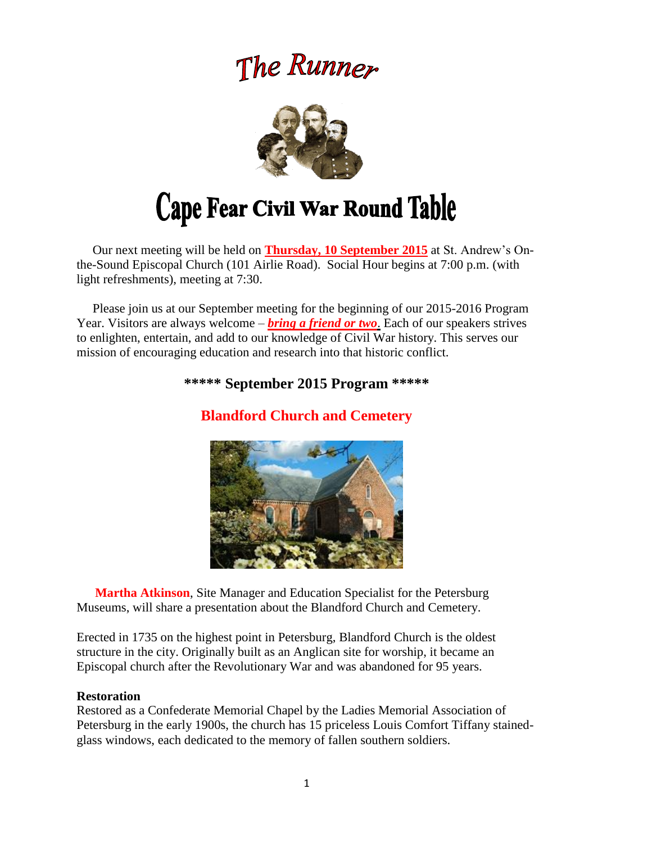# The Runner



# Cape Fear Civil War Round Table

 Our next meeting will be held on **Thursday, 10 September 2015** at St. Andrew's Onthe-Sound Episcopal Church (101 Airlie Road). Social Hour begins at 7:00 p.m. (with light refreshments), meeting at 7:30.

 Please join us at our September meeting for the beginning of our 2015-2016 Program Year. Visitors are always welcome – *bring a friend or two*. Each of our speakers strives to enlighten, entertain, and add to our knowledge of Civil War history. This serves our mission of encouraging education and research into that historic conflict.

# **\*\*\*\*\* September 2015 Program \*\*\*\*\***

**Blandford Church and Cemetery**

 **Martha Atkinson**, Site Manager and Education Specialist for the Petersburg Museums, will share a presentation about the Blandford Church and Cemetery.

Erected in 1735 on the highest point in Petersburg, Blandford Church is the oldest structure in the city. Originally built as an Anglican site for worship, it became an Episcopal church after the Revolutionary War and was abandoned for 95 years.

#### **Restoration**

Restored as a Confederate Memorial Chapel by the Ladies Memorial Association of Petersburg in the early 1900s, the church has 15 priceless Louis Comfort Tiffany stainedglass windows, each dedicated to the memory of fallen southern soldiers.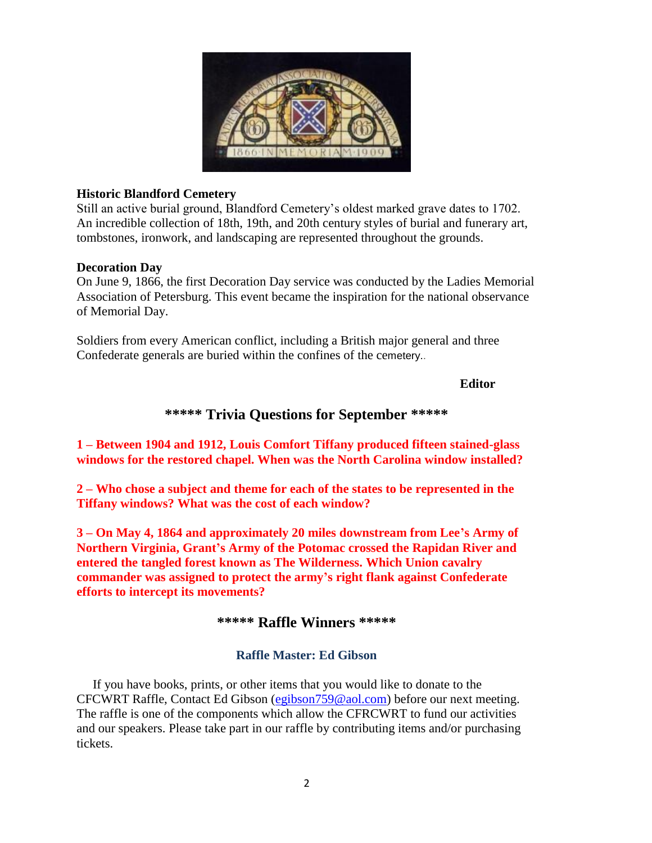

#### **Historic Blandford Cemetery**

Still an active burial ground, Blandford Cemetery's oldest marked grave dates to 1702. An incredible collection of 18th, 19th, and 20th century styles of burial and funerary art, tombstones, ironwork, and landscaping are represented throughout the grounds.

#### **Decoration Day**

On June 9, 1866, the first Decoration Day service was conducted by the Ladies Memorial Association of Petersburg. This event became the inspiration for the national observance of Memorial Day.

Soldiers from every American conflict, including a British major general and three Confederate generals are buried within the confines of the cemetery..

#### **Editor**

# **\*\*\*\*\* Trivia Questions for September \*\*\*\*\***

**1 – Between 1904 and 1912, Louis Comfort Tiffany produced fifteen stained-glass windows for the restored chapel. When was the North Carolina window installed?** 

**2 – Who chose a subject and theme for each of the states to be represented in the Tiffany windows? What was the cost of each window?** 

**3 – On May 4, 1864 and approximately 20 miles downstream from Lee's Army of Northern Virginia, Grant's Army of the Potomac crossed the Rapidan River and entered the tangled forest known as The Wilderness. Which Union cavalry commander was assigned to protect the army's right flank against Confederate efforts to intercept its movements?**

# **\*\*\*\*\* Raffle Winners \*\*\*\*\***

## **Raffle Master: Ed Gibson**

If you have books, prints, or other items that you would like to donate to the CFCWRT Raffle, Contact Ed Gibson [\(egibson759@aol.com\)](mailto:egibson759@aol.com) before our next meeting. The raffle is one of the components which allow the CFRCWRT to fund our activities and our speakers. Please take part in our raffle by contributing items and/or purchasing tickets.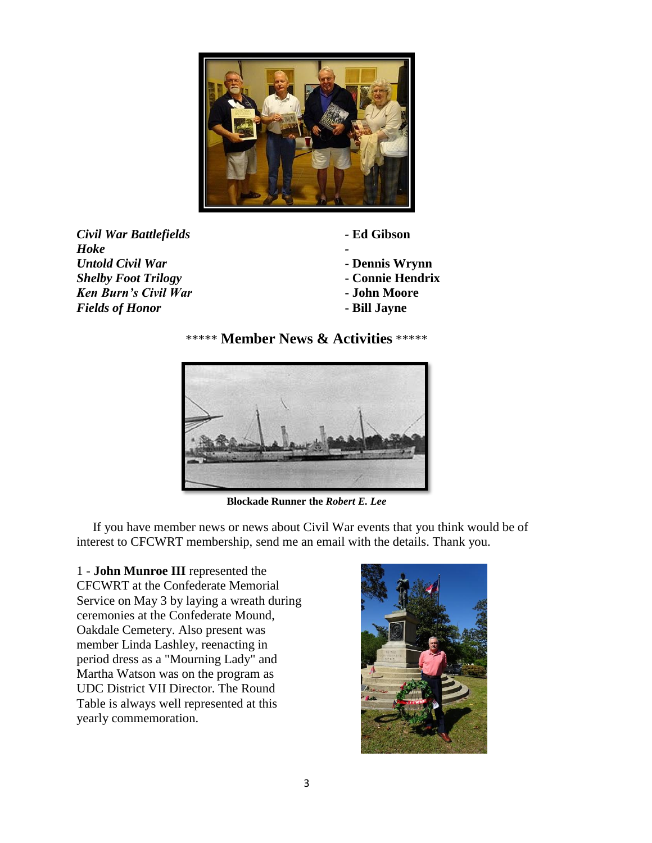

*Civil War Battlefields -* **Ed Gibson** *Hoke - Untold Civil War* **- Dennis Wrynn** *Shelby Foot Trilogy* **- Connie Hendrix** *Ken Burn's Civil War* **- John Moore** *Fields of Honor* **- Bill Jayne** 

- 
- 
- 
- 





**Blockade Runner the** *Robert E. Lee*

 If you have member news or news about Civil War events that you think would be of interest to CFCWRT membership, send me an email with the details. Thank you.

1 - **John Munroe III** represented the CFCWRT at the Confederate Memorial Service on May 3 by laying a wreath during ceremonies at the Confederate Mound, Oakdale Cemetery. Also present was member Linda Lashley, reenacting in period dress as a "Mourning Lady" and Martha Watson was on the program as UDC District VII Director. The Round Table is always well represented at this yearly commemoration.

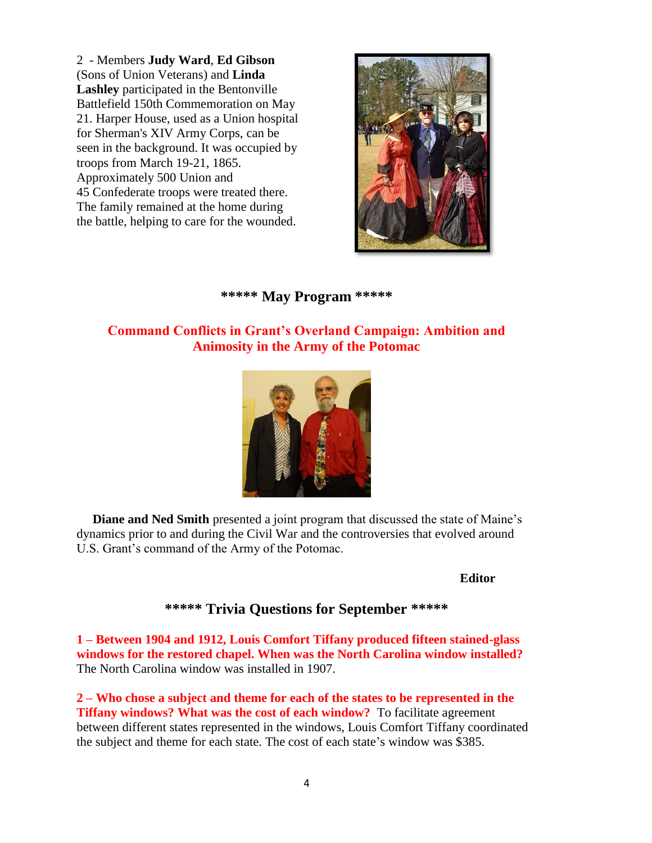2 - Members **Judy Ward**, **Ed Gibson** (Sons of Union Veterans) and **Linda Lashley** participated in the Bentonville Battlefield 150th Commemoration on May 21. Harper House, used as a Union hospital for Sherman's XIV Army Corps, can be seen in the background. It was occupied by troops from March 19-21, 1865. Approximately 500 Union and 45 Confederate troops were treated there. The family remained at the home during the battle, helping to care for the wounded.



## **\*\*\*\*\* May Program \*\*\*\*\***

# **Command Conflicts in Grant's Overland Campaign: Ambition and Animosity in the Army of the Potomac**



 **Diane and Ned Smith** presented a joint program that discussed the state of Maine's dynamics prior to and during the Civil War and the controversies that evolved around U.S. Grant's command of the Army of the Potomac.

#### **Editor**

## **\*\*\*\*\* Trivia Questions for September \*\*\*\*\***

**1 – Between 1904 and 1912, Louis Comfort Tiffany produced fifteen stained-glass windows for the restored chapel. When was the North Carolina window installed?**  The North Carolina window was installed in 1907.

**2 – Who chose a subject and theme for each of the states to be represented in the Tiffany windows? What was the cost of each window?** To facilitate agreement between different states represented in the windows, Louis Comfort Tiffany coordinated the subject and theme for each state. The cost of each state's window was \$385.